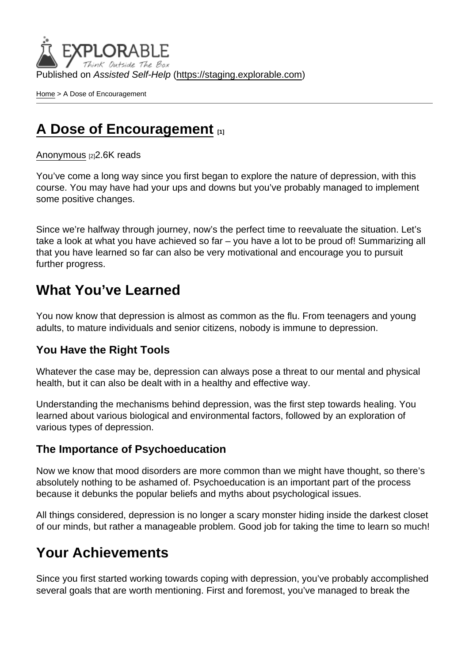Published on Assisted Self-Help [\(https://staging.explorable.com](https://staging.explorable.com))

[Home](https://staging.explorable.com/en) > A Dose of Encouragement

# [A Dose of Encouragement](https://staging.explorable.com/en/e/dose-of-encouragement) [1]

#### [Anonymous](https://staging.explorable.com/en/users/Liya Panayotova) [2] 2.6K reads

You've come a long way since you first began to explore the nature of depression, with this course. You may have had your ups and downs but you've probably managed to implement some positive changes.

Since we're halfway through journey, now's the perfect time to reevaluate the situation. Let's take a look at what you have achieved so far – you have a lot to be proud of! Summarizing all that you have learned so far can also be very motivational and encourage you to pursuit further progress.

# What You've Learned

You now know that depression is almost as common as the flu. From teenagers and young adults, to mature individuals and senior citizens, nobody is immune to depression.

#### You Have the Right Tools

Whatever the case may be, depression can always pose a threat to our mental and physical health, but it can also be dealt with in a healthy and effective way.

Understanding the mechanisms behind depression, was the first step towards healing. You learned about various biological and environmental factors, followed by an exploration of various types of depression.

#### The Importance of Psychoeducation

Now we know that mood disorders are more common than we might have thought, so there's absolutely nothing to be ashamed of. Psychoeducation is an important part of the process because it debunks the popular beliefs and myths about psychological issues.

All things considered, depression is no longer a scary monster hiding inside the darkest closet of our minds, but rather a manageable problem. Good job for taking the time to learn so much!

## Your Achievements

Since you first started working towards coping with depression, you've probably accomplished several goals that are worth mentioning. First and foremost, you've managed to break the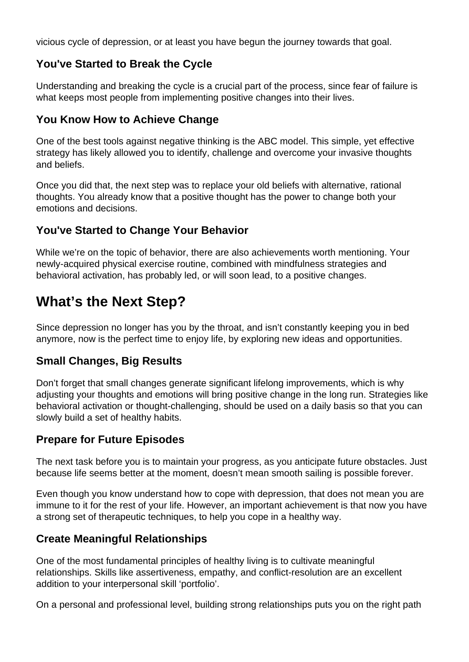vicious cycle of depression, or at least you have begun the journey towards that goal.

#### **You've Started to Break the Cycle**

Understanding and breaking the cycle is a crucial part of the process, since fear of failure is what keeps most people from implementing positive changes into their lives.

## **You Know How to Achieve Change**

One of the best tools against negative thinking is the ABC model. This simple, yet effective strategy has likely allowed you to identify, challenge and overcome your invasive thoughts and beliefs.

Once you did that, the next step was to replace your old beliefs with alternative, rational thoughts. You already know that a positive thought has the power to change both your emotions and decisions.

### **You've Started to Change Your Behavior**

While we're on the topic of behavior, there are also achievements worth mentioning. Your newly-acquired physical exercise routine, combined with mindfulness strategies and behavioral activation, has probably led, or will soon lead, to a positive changes.

# **What's the Next Step?**

Since depression no longer has you by the throat, and isn't constantly keeping you in bed anymore, now is the perfect time to enjoy life, by exploring new ideas and opportunities.

#### **Small Changes, Big Results**

Don't forget that small changes generate significant lifelong improvements, which is why adjusting your thoughts and emotions will bring positive change in the long run. Strategies like behavioral activation or thought-challenging, should be used on a daily basis so that you can slowly build a set of healthy habits.

## **Prepare for Future Episodes**

The next task before you is to maintain your progress, as you anticipate future obstacles. Just because life seems better at the moment, doesn't mean smooth sailing is possible forever.

Even though you know understand how to cope with depression, that does not mean you are immune to it for the rest of your life. However, an important achievement is that now you have a strong set of therapeutic techniques, to help you cope in a healthy way.

## **Create Meaningful Relationships**

One of the most fundamental principles of healthy living is to cultivate meaningful relationships. Skills like assertiveness, empathy, and conflict-resolution are an excellent addition to your interpersonal skill 'portfolio'.

On a personal and professional level, building strong relationships puts you on the right path